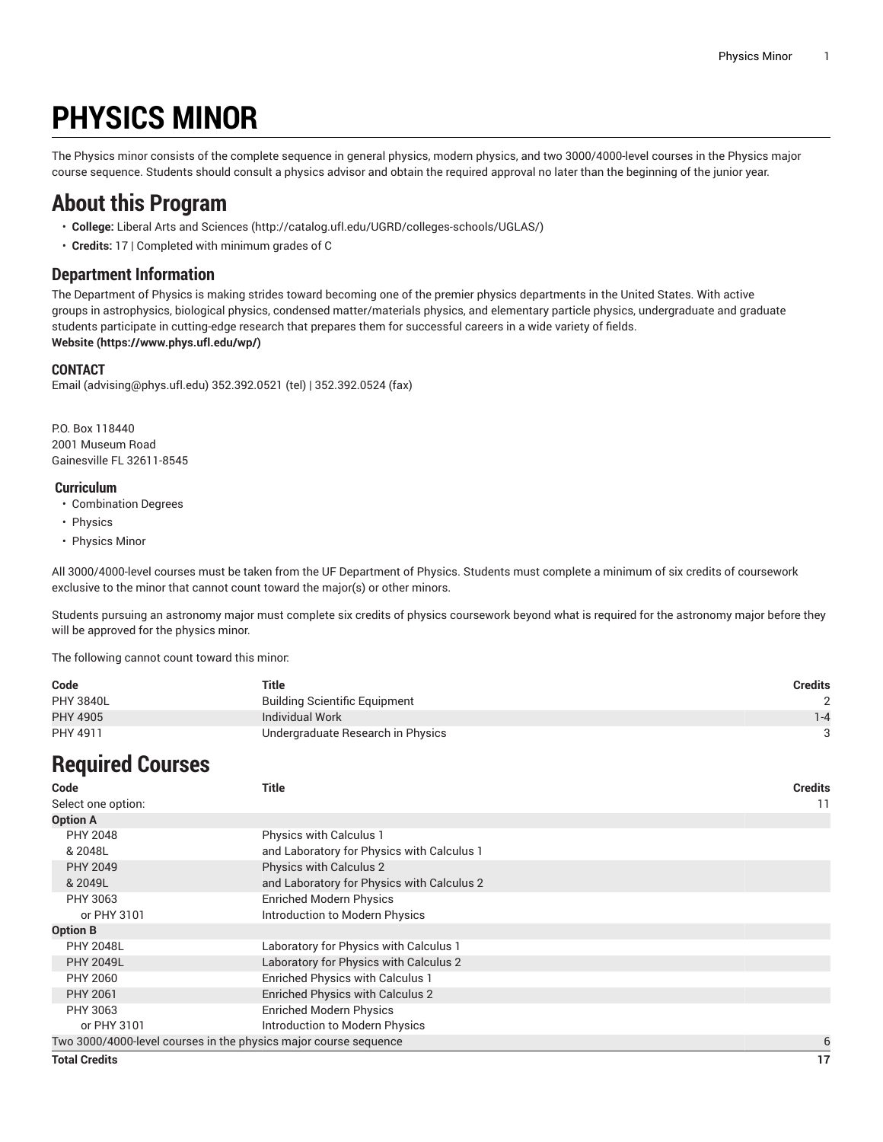# **PHYSICS MINOR**

The Physics minor consists of the complete sequence in general physics, modern physics, and two 3000/4000-level courses in the Physics major course sequence. Students should consult a physics advisor and obtain the required approval no later than the beginning of the junior year.

### **About this Program**

- **College:** Liberal Arts and [Sciences](http://catalog.ufl.edu/UGRD/colleges-schools/UGLAS/) ([http://catalog.ufl.edu/UGRD/colleges-schools/UGLAS/\)](http://catalog.ufl.edu/UGRD/colleges-schools/UGLAS/)
- **Credits:** 17 | Completed with minimum grades of C

### **Department Information**

The Department of Physics is making strides toward becoming one of the premier physics departments in the United States. With active groups in astrophysics, biological physics, condensed matter/materials physics, and elementary particle physics, undergraduate and graduate students participate in cutting-edge research that prepares them for successful careers in a wide variety of fields. **[Website](https://www.phys.ufl.edu/wp/) (<https://www.phys.ufl.edu/wp/>)**

#### **CONTACT**

[Email](mailto:advising@phys.ufl.edu) (<advising@phys.ufl.edu>) 352.392.0521 (tel) | 352.392.0524 (fax)

P.O. Box 118440 2001 Museum Road Gainesville FL 32611-8545

#### **Curriculum**

- Combination Degrees
- Physics
- Physics Minor

All 3000/4000-level courses must be taken from the UF Department of Physics. Students must complete a minimum of six credits of coursework exclusive to the minor that cannot count toward the major(s) or other minors.

Students pursuing an astronomy major must complete six credits of physics coursework beyond what is required for the astronomy major before they will be approved for the physics minor.

The following cannot count toward this minor:

| Code             | Title                                | <b>Credits</b> |
|------------------|--------------------------------------|----------------|
| <b>PHY 3840L</b> | <b>Building Scientific Equipment</b> |                |
| <b>PHY 4905</b>  | Individual Work                      | $1 - 4$        |
| PHY 4911         | Undergraduate Research in Physics    |                |

## **Required Courses**

| Code                                                             | <b>Title</b>                               | <b>Credits</b> |
|------------------------------------------------------------------|--------------------------------------------|----------------|
| Select one option:                                               |                                            | 11             |
| <b>Option A</b>                                                  |                                            |                |
| PHY 2048                                                         | <b>Physics with Calculus 1</b>             |                |
| & 2048L                                                          | and Laboratory for Physics with Calculus 1 |                |
| <b>PHY 2049</b>                                                  | <b>Physics with Calculus 2</b>             |                |
| & 2049L                                                          | and Laboratory for Physics with Calculus 2 |                |
| PHY 3063                                                         | <b>Enriched Modern Physics</b>             |                |
| or PHY 3101                                                      | Introduction to Modern Physics             |                |
| <b>Option B</b>                                                  |                                            |                |
| <b>PHY 2048L</b>                                                 | Laboratory for Physics with Calculus 1     |                |
| <b>PHY 2049L</b>                                                 | Laboratory for Physics with Calculus 2     |                |
| PHY 2060                                                         | Enriched Physics with Calculus 1           |                |
| <b>PHY 2061</b>                                                  | Enriched Physics with Calculus 2           |                |
| PHY 3063                                                         | <b>Enriched Modern Physics</b>             |                |
| or PHY 3101                                                      | Introduction to Modern Physics             |                |
| Two 3000/4000-level courses in the physics major course sequence |                                            | 6              |